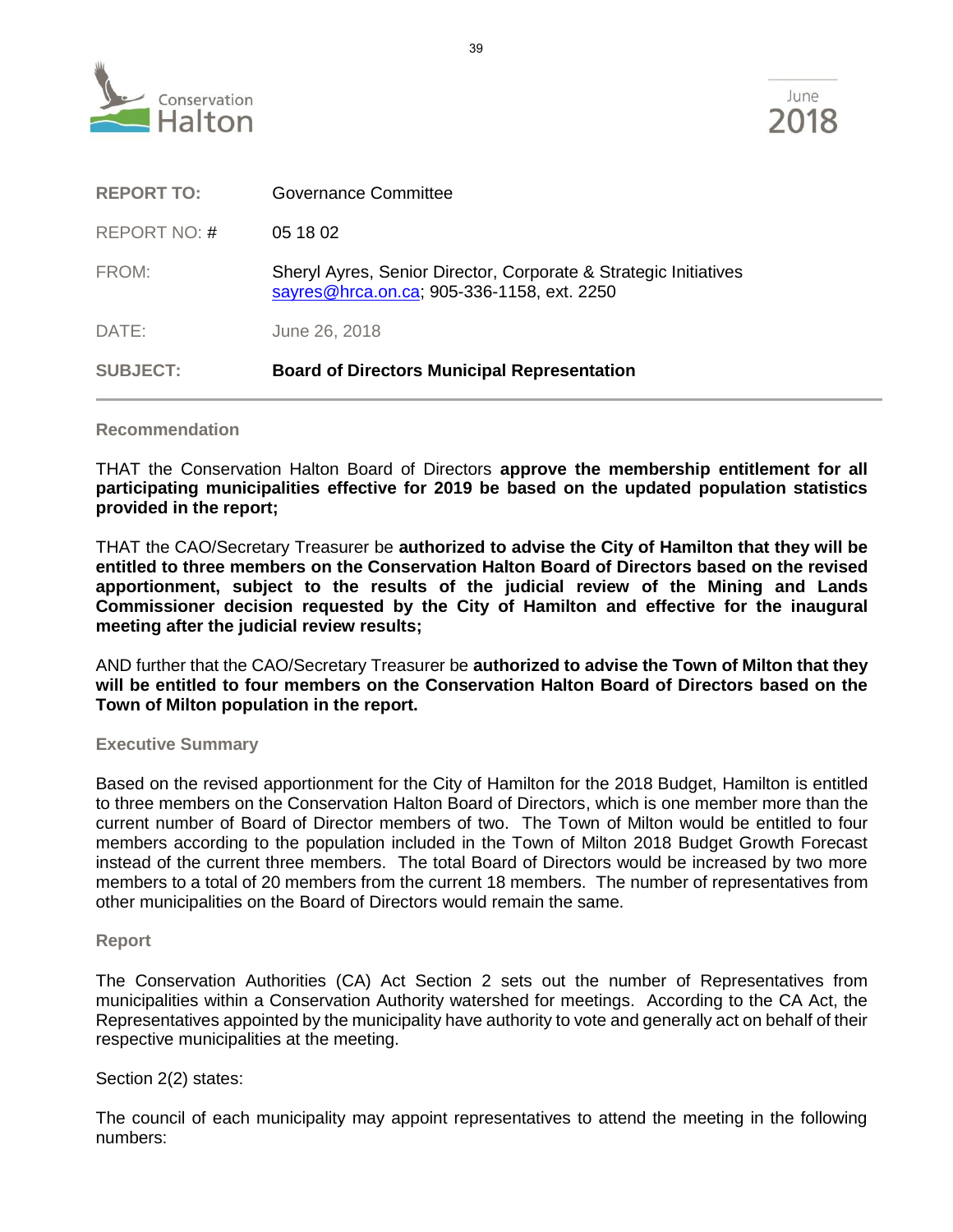

| <b>SUBJECT:</b>   | <b>Board of Directors Municipal Representation</b>                                                             |
|-------------------|----------------------------------------------------------------------------------------------------------------|
| DATE:             | June 26, 2018                                                                                                  |
| FROM:             | Sheryl Ayres, Senior Director, Corporate & Strategic Initiatives<br>sayres@hrca.on.ca; 905-336-1158, ext. 2250 |
| REPORT NO: #      | 05 18 02                                                                                                       |
| <b>REPORT TO:</b> | Governance Committee                                                                                           |

## **Recommendation**

THAT the Conservation Halton Board of Directors **approve the membership entitlement for all participating municipalities effective for 2019 be based on the updated population statistics provided in the report;**

THAT the CAO/Secretary Treasurer be **authorized to advise the City of Hamilton that they will be entitled to three members on the Conservation Halton Board of Directors based on the revised apportionment, subject to the results of the judicial review of the Mining and Lands Commissioner decision requested by the City of Hamilton and effective for the inaugural meeting after the judicial review results;**

AND further that the CAO/Secretary Treasurer be **authorized to advise the Town of Milton that they will be entitled to four members on the Conservation Halton Board of Directors based on the Town of Milton population in the report.**

#### **Executive Summary**

Based on the revised apportionment for the City of Hamilton for the 2018 Budget, Hamilton is entitled to three members on the Conservation Halton Board of Directors, which is one member more than the current number of Board of Director members of two. The Town of Milton would be entitled to four members according to the population included in the Town of Milton 2018 Budget Growth Forecast instead of the current three members. The total Board of Directors would be increased by two more members to a total of 20 members from the current 18 members. The number of representatives from other municipalities on the Board of Directors would remain the same.

#### **Report**

The Conservation Authorities (CA) Act Section 2 sets out the number of Representatives from municipalities within a Conservation Authority watershed for meetings. According to the CA Act, the Representatives appointed by the municipality have authority to vote and generally act on behalf of their respective municipalities at the meeting.

# Section 2(2) states:

The council of each municipality may appoint representatives to attend the meeting in the following numbers: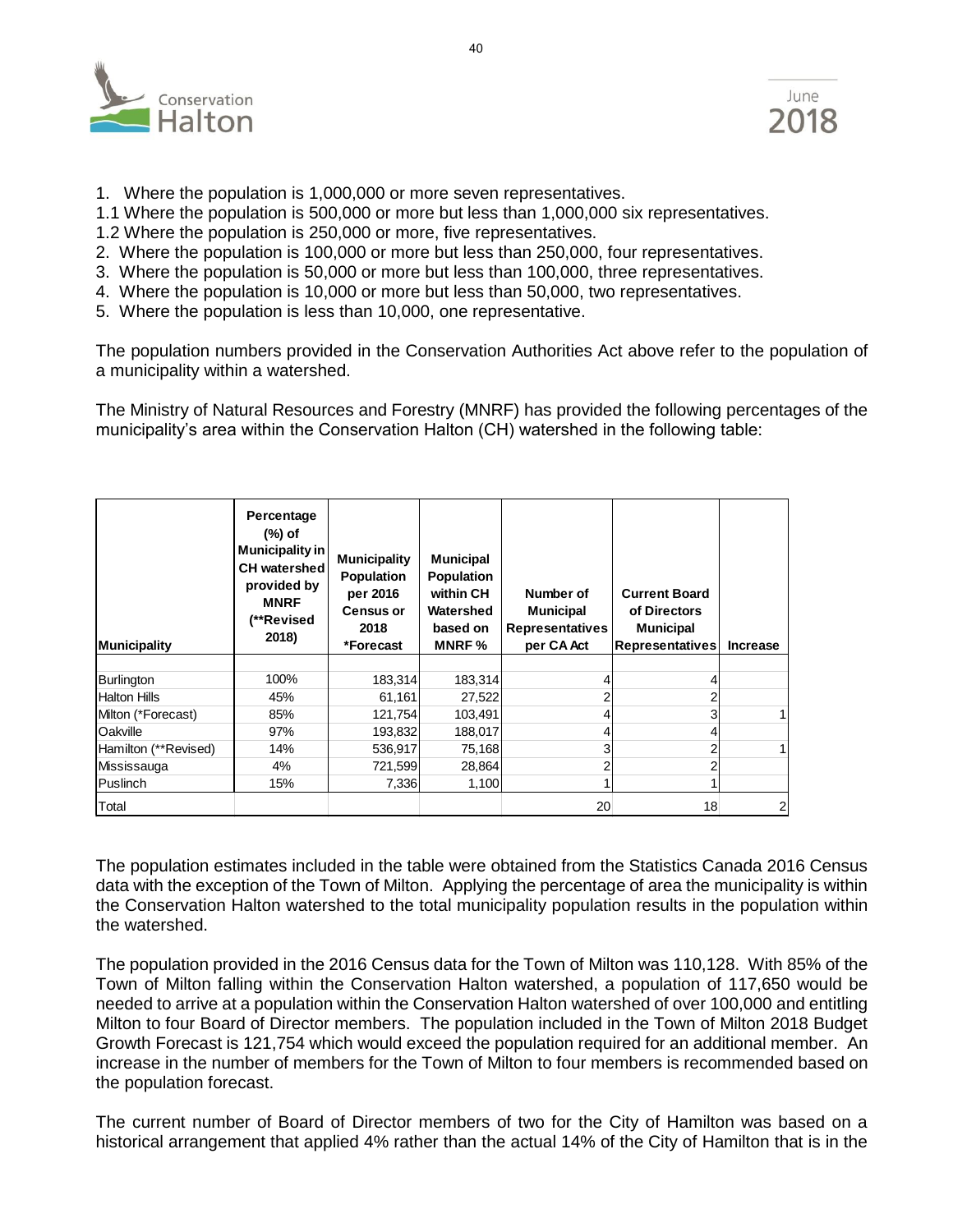

- 1. Where the population is 1,000,000 or more seven representatives.
- 1.1 Where the population is 500,000 or more but less than 1,000,000 six representatives.
- 1.2 Where the population is 250,000 or more, five representatives.
- 2. Where the population is 100,000 or more but less than 250,000, four representatives.
- 3. Where the population is 50,000 or more but less than 100,000, three representatives.
- 4. Where the population is 10,000 or more but less than 50,000, two representatives.
- 5. Where the population is less than 10,000, one representative.

The population numbers provided in the Conservation Authorities Act above refer to the population of a municipality within a watershed.

The Ministry of Natural Resources and Forestry (MNRF) has provided the following percentages of the municipality's area within the Conservation Halton (CH) watershed in the following table:

| <b>Municipality</b>  | Percentage<br>(%) of<br><b>Municipality in</b><br><b>CH</b> watershed<br>provided by<br><b>MNRF</b><br>(**Revised<br>2018) | <b>Municipality</b><br><b>Population</b><br>per 2016<br><b>Census or</b><br>2018<br>*Forecast | <b>Municipal</b><br><b>Population</b><br>within CH<br>Watershed<br>based on<br><b>MNRF</b> % | Number of<br><b>Municipal</b><br><b>Representatives</b><br>per CA Act | <b>Current Board</b><br>of Directors<br><b>Municipal</b><br><b>Representatives</b> | <b>Increase</b> |
|----------------------|----------------------------------------------------------------------------------------------------------------------------|-----------------------------------------------------------------------------------------------|----------------------------------------------------------------------------------------------|-----------------------------------------------------------------------|------------------------------------------------------------------------------------|-----------------|
| Burlington           | 100%                                                                                                                       | 183,314                                                                                       | 183,314                                                                                      |                                                                       | 4                                                                                  |                 |
| <b>Halton Hills</b>  | 45%                                                                                                                        | 61,161                                                                                        | 27,522                                                                                       |                                                                       | 2                                                                                  |                 |
| Milton (*Forecast)   | 85%                                                                                                                        | 121,754                                                                                       | 103,491                                                                                      |                                                                       | 3                                                                                  |                 |
| Oakville             | 97%                                                                                                                        | 193,832                                                                                       | 188,017                                                                                      |                                                                       | 4                                                                                  |                 |
| Hamilton (**Revised) | 14%                                                                                                                        | 536,917                                                                                       | 75,168                                                                                       | 3                                                                     | 2                                                                                  |                 |
| Mississauga          | 4%                                                                                                                         | 721,599                                                                                       | 28,864                                                                                       |                                                                       | 2                                                                                  |                 |
| Puslinch             | 15%                                                                                                                        | 7,336                                                                                         | 1,100                                                                                        |                                                                       |                                                                                    |                 |
| Total                |                                                                                                                            |                                                                                               |                                                                                              | 20                                                                    | 18                                                                                 | $\overline{c}$  |

The population estimates included in the table were obtained from the Statistics Canada 2016 Census data with the exception of the Town of Milton. Applying the percentage of area the municipality is within the Conservation Halton watershed to the total municipality population results in the population within the watershed.

The population provided in the 2016 Census data for the Town of Milton was 110,128. With 85% of the Town of Milton falling within the Conservation Halton watershed, a population of 117,650 would be needed to arrive at a population within the Conservation Halton watershed of over 100,000 and entitling Milton to four Board of Director members. The population included in the Town of Milton 2018 Budget Growth Forecast is 121,754 which would exceed the population required for an additional member. An increase in the number of members for the Town of Milton to four members is recommended based on the population forecast.

The current number of Board of Director members of two for the City of Hamilton was based on a historical arrangement that applied 4% rather than the actual 14% of the City of Hamilton that is in the